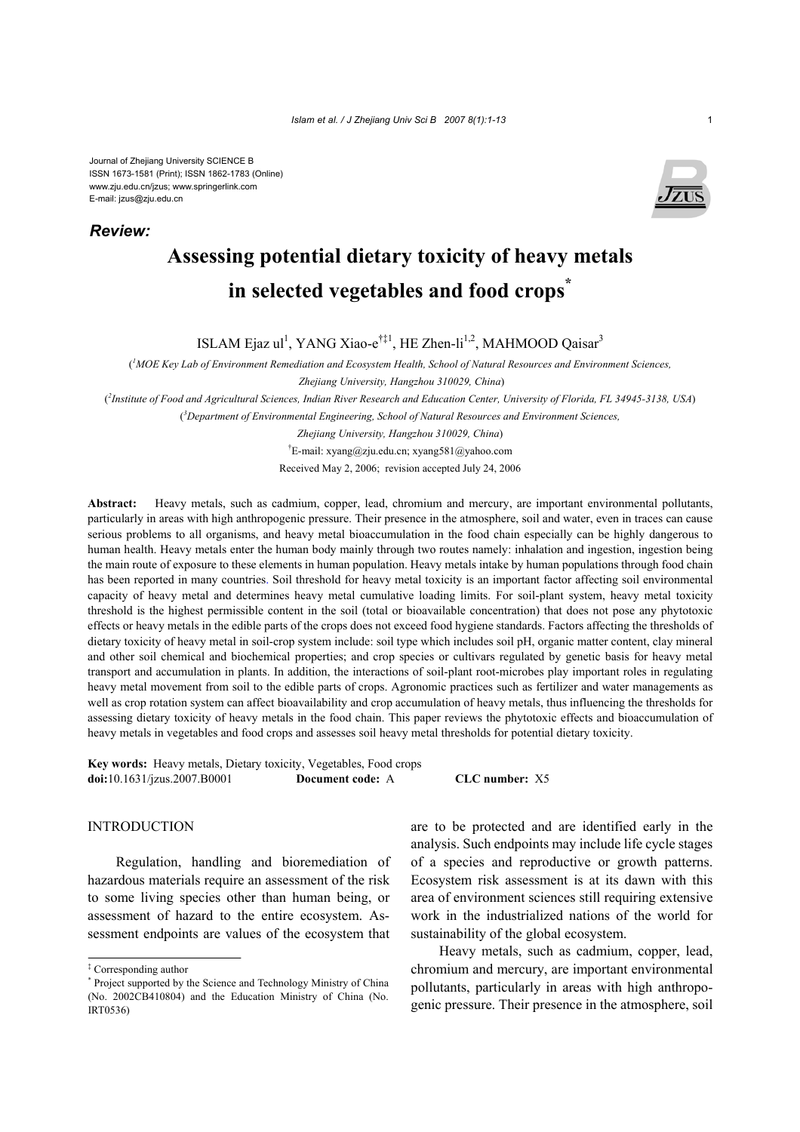Journal of Zhejiang University SCIENCE B ISSN 1673-1581 (Print); ISSN 1862-1783 (Online) www.zju.edu.cn/jzus; www.springerlink.com E-mail: jzus@zju.edu.cn

*Review:*



# **Assessing potential dietary toxicity of heavy metals in selected vegetables and food crops\***

ISLAM Ejaz ul<sup>1</sup>, YANG Xiao-e<sup>†‡1</sup>, HE Zhen-li<sup>1,2</sup>, MAHMOOD Qaisar<sup>3</sup>

( *1 MOE Key Lab of Environment Remediation and Ecosystem Health, School of Natural Resources and Environment Sciences,* 

 *Zhejiang University, Hangzhou 310029, China*)

( *2 Institute of Food and Agricultural Sciences, Indian River Research and Education Center, University of Florida, FL 34945-3138, USA*) ( *3 Department of Environmental Engineering, School of Natural Resources and Environment Sciences,* 

*Zhejiang University, Hangzhou 310029, China*) † E-mail: xyang@zju.edu.cn; xyang581@yahoo.com

Received May 2, 2006; revision accepted July 24, 2006

**Abstract:** Heavy metals, such as cadmium, copper, lead, chromium and mercury, are important environmental pollutants, particularly in areas with high anthropogenic pressure. Their presence in the atmosphere, soil and water, even in traces can cause serious problems to all organisms, and heavy metal bioaccumulation in the food chain especially can be highly dangerous to human health. Heavy metals enter the human body mainly through two routes namely: inhalation and ingestion, ingestion being the main route of exposure to these elements in human population. Heavy metals intake by human populations through food chain has been reported in many countries. Soil threshold for heavy metal toxicity is an important factor affecting soil environmental capacity of heavy metal and determines heavy metal cumulative loading limits. For soil-plant system, heavy metal toxicity threshold is the highest permissible content in the soil (total or bioavailable concentration) that does not pose any phytotoxic effects or heavy metals in the edible parts of the crops does not exceed food hygiene standards. Factors affecting the thresholds of dietary toxicity of heavy metal in soil-crop system include: soil type which includes soil pH, organic matter content, clay mineral and other soil chemical and biochemical properties; and crop species or cultivars regulated by genetic basis for heavy metal transport and accumulation in plants. In addition, the interactions of soil-plant root-microbes play important roles in regulating heavy metal movement from soil to the edible parts of crops. Agronomic practices such as fertilizer and water managements as well as crop rotation system can affect bioavailability and crop accumulation of heavy metals, thus influencing the thresholds for assessing dietary toxicity of heavy metals in the food chain. This paper reviews the phytotoxic effects and bioaccumulation of heavy metals in vegetables and food crops and assesses soil heavy metal thresholds for potential dietary toxicity.

**Key words:** Heavy metals, Dietary toxicity, Vegetables, Food crops **doi:**10.1631/jzus.2007.B0001 **Document code:** A **CLC number:** X5

#### **INTRODUCTION**

Regulation, handling and bioremediation of hazardous materials require an assessment of the risk to some living species other than human being, or assessment of hazard to the entire ecosystem. Assessment endpoints are values of the ecosystem that are to be protected and are identified early in the analysis. Such endpoints may include life cycle stages of a species and reproductive or growth patterns. Ecosystem risk assessment is at its dawn with this area of environment sciences still requiring extensive work in the industrialized nations of the world for sustainability of the global ecosystem.

Heavy metals, such as cadmium, copper, lead, chromium and mercury, are important environmental pollutants, particularly in areas with high anthropogenic pressure. Their presence in the atmosphere, soil

<sup>‡</sup> Corresponding author

<sup>\*</sup> Project supported by the Science and Technology Ministry of China (No. 2002CB410804) and the Education Ministry of China (No. IRT0536)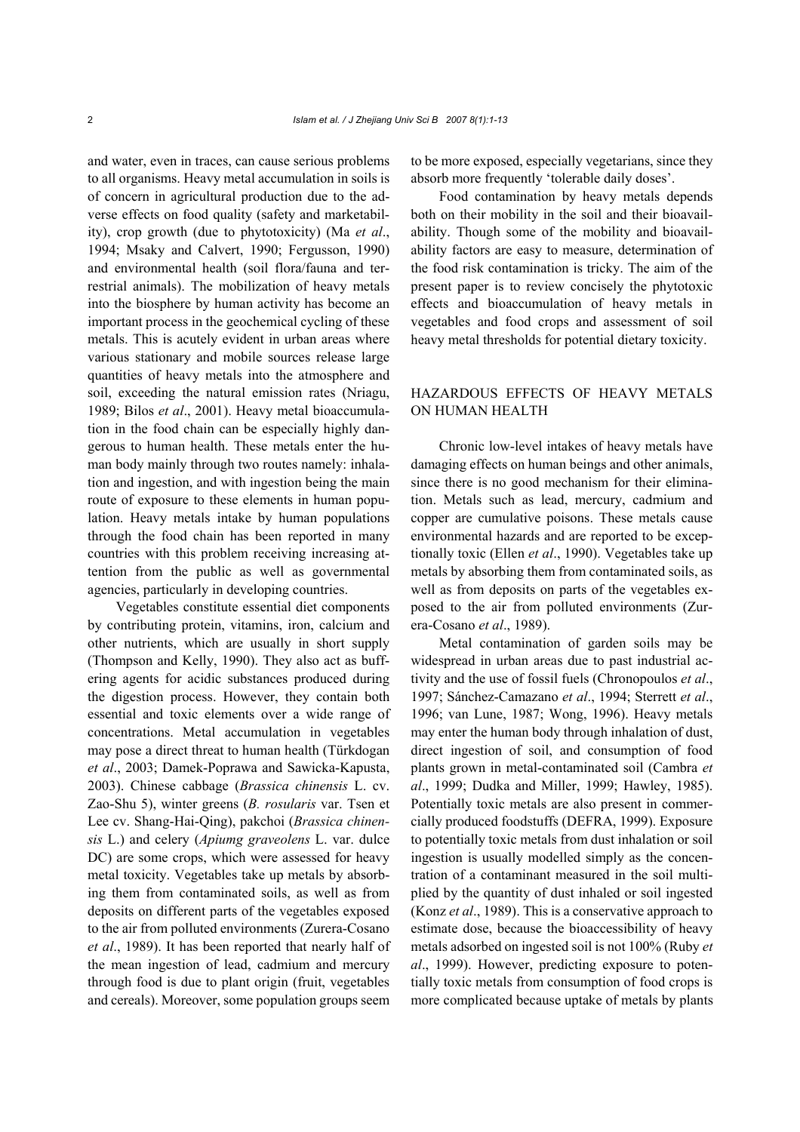and water, even in traces, can cause serious problems to all organisms. Heavy metal accumulation in soils is of concern in agricultural production due to the adverse effects on food quality (safety and marketability), crop growth (due to phytotoxicity) (Ma *et al*., 1994; Msaky and Calvert, 1990; Fergusson, 1990) and environmental health (soil flora/fauna and terrestrial animals). The mobilization of heavy metals into the biosphere by human activity has become an important process in the geochemical cycling of these metals. This is acutely evident in urban areas where various stationary and mobile sources release large quantities of heavy metals into the atmosphere and soil, exceeding the natural emission rates (Nriagu, 1989; Bilos *et al*., 2001). Heavy metal bioaccumulation in the food chain can be especially highly dangerous to human health. These metals enter the human body mainly through two routes namely: inhalation and ingestion, and with ingestion being the main route of exposure to these elements in human population. Heavy metals intake by human populations through the food chain has been reported in many countries with this problem receiving increasing attention from the public as well as governmental agencies, particularly in developing countries.

Vegetables constitute essential diet components by contributing protein, vitamins, iron, calcium and other nutrients, which are usually in short supply (Thompson and Kelly, 1990). They also act as buffering agents for acidic substances produced during the digestion process. However, they contain both essential and toxic elements over a wide range of concentrations. Metal accumulation in vegetables may pose a direct threat to human health (Türkdogan *et al*., 2003; Damek-Poprawa and Sawicka-Kapusta, 2003). Chinese cabbage (*Brassica chinensis* L. cv. Zao-Shu 5), winter greens (*B. rosularis* var. Tsen et Lee cv. Shang-Hai-Qing), pakchoi (*Brassica chinensis* L.) and celery (*Apiumg graveolens* L. var. dulce DC) are some crops, which were assessed for heavy metal toxicity. Vegetables take up metals by absorbing them from contaminated soils, as well as from deposits on different parts of the vegetables exposed to the air from polluted environments (Zurera-Cosano *et al*., 1989). It has been reported that nearly half of the mean ingestion of lead, cadmium and mercury through food is due to plant origin (fruit, vegetables and cereals). Moreover, some population groups seem

to be more exposed, especially vegetarians, since they absorb more frequently 'tolerable daily doses'.

Food contamination by heavy metals depends both on their mobility in the soil and their bioavailability. Though some of the mobility and bioavailability factors are easy to measure, determination of the food risk contamination is tricky. The aim of the present paper is to review concisely the phytotoxic effects and bioaccumulation of heavy metals in vegetables and food crops and assessment of soil heavy metal thresholds for potential dietary toxicity.

# HAZARDOUS EFFECTS OF HEAVY METALS ON HUMAN HEALTH

Chronic low-level intakes of heavy metals have damaging effects on human beings and other animals, since there is no good mechanism for their elimination. Metals such as lead, mercury, cadmium and copper are cumulative poisons. These metals cause environmental hazards and are reported to be exceptionally toxic (Ellen *et al*., 1990). Vegetables take up metals by absorbing them from contaminated soils, as well as from deposits on parts of the vegetables exposed to the air from polluted environments (Zurera-Cosano *et al*., 1989).

Metal contamination of garden soils may be widespread in urban areas due to past industrial activity and the use of fossil fuels (Chronopoulos *et al*., 1997; Sánchez-Camazano *et al*., 1994; Sterrett *et al*., 1996; van Lune, 1987; Wong, 1996). Heavy metals may enter the human body through inhalation of dust, direct ingestion of soil, and consumption of food plants grown in metal-contaminated soil (Cambra *et al*., 1999; Dudka and Miller, 1999; Hawley, 1985). Potentially toxic metals are also present in commercially produced foodstuffs (DEFRA, 1999). Exposure to potentially toxic metals from dust inhalation or soil ingestion is usually modelled simply as the concentration of a contaminant measured in the soil multiplied by the quantity of dust inhaled or soil ingested (Konz *et al*., 1989). This is a conservative approach to estimate dose, because the bioaccessibility of heavy metals adsorbed on ingested soil is not 100% (Ruby *et al*., 1999). However, predicting exposure to potentially toxic metals from consumption of food crops is more complicated because uptake of metals by plants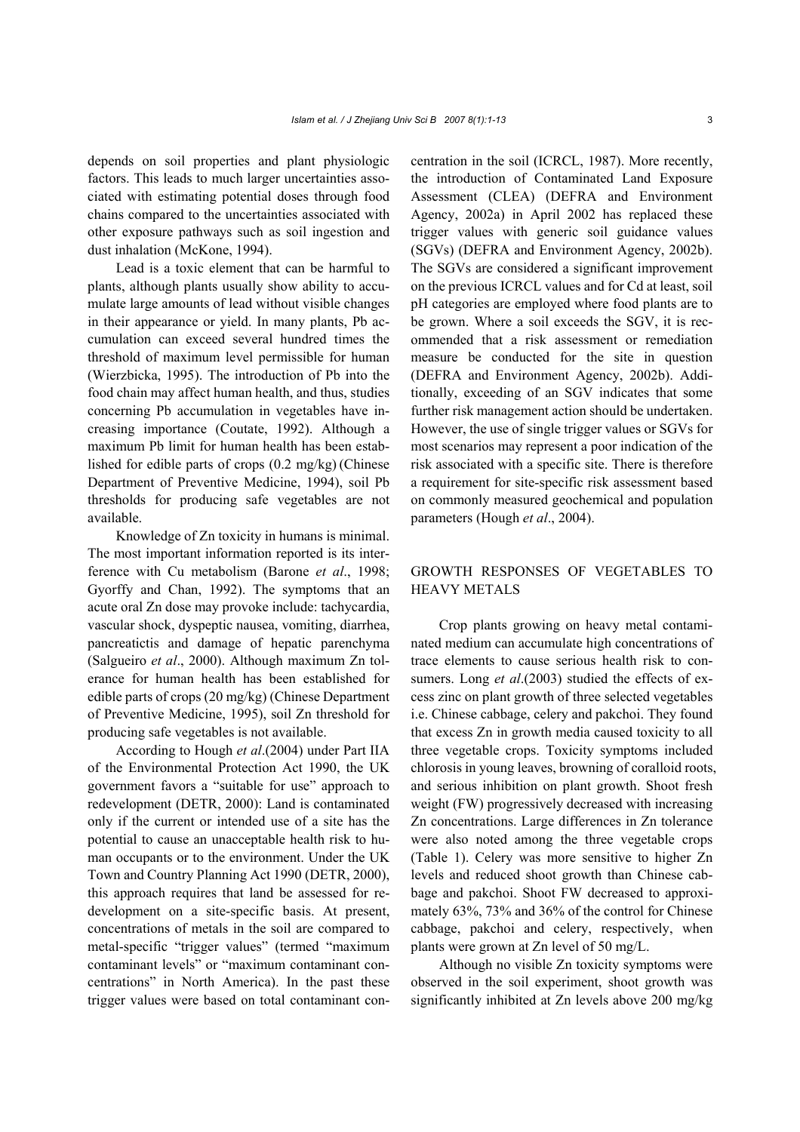depends on soil properties and plant physiologic factors. This leads to much larger uncertainties associated with estimating potential doses through food chains compared to the uncertainties associated with other exposure pathways such as soil ingestion and dust inhalation (McKone, 1994).

Lead is a toxic element that can be harmful to plants, although plants usually show ability to accumulate large amounts of lead without visible changes in their appearance or yield. In many plants, Pb accumulation can exceed several hundred times the threshold of maximum level permissible for human (Wierzbicka, 1995). The introduction of Pb into the food chain may affect human health, and thus, studies concerning Pb accumulation in vegetables have increasing importance (Coutate, 1992). Although a maximum Pb limit for human health has been established for edible parts of crops (0.2 mg/kg) (Chinese Department of Preventive Medicine, 1994), soil Pb thresholds for producing safe vegetables are not available.

Knowledge of Zn toxicity in humans is minimal. The most important information reported is its interference with Cu metabolism (Barone *et al*., 1998; Gyorffy and Chan, 1992). The symptoms that an acute oral Zn dose may provoke include: tachycardia, vascular shock, dyspeptic nausea, vomiting, diarrhea, pancreatictis and damage of hepatic parenchyma (Salgueiro *et al*., 2000). Although maximum Zn tolerance for human health has been established for edible parts of crops (20 mg/kg) (Chinese Department of Preventive Medicine, 1995), soil Zn threshold for producing safe vegetables is not available.

According to Hough *et al*.(2004) under Part IIA of the Environmental Protection Act 1990, the UK government favors a "suitable for use" approach to redevelopment (DETR, 2000): Land is contaminated only if the current or intended use of a site has the potential to cause an unacceptable health risk to human occupants or to the environment. Under the UK Town and Country Planning Act 1990 (DETR, 2000), this approach requires that land be assessed for redevelopment on a site-specific basis. At present, concentrations of metals in the soil are compared to metal-specific "trigger values" (termed "maximum contaminant levels" or "maximum contaminant concentrations" in North America). In the past these trigger values were based on total contaminant concentration in the soil (ICRCL, 1987). More recently, the introduction of Contaminated Land Exposure Assessment (CLEA) (DEFRA and Environment Agency, 2002a) in April 2002 has replaced these trigger values with generic soil guidance values (SGVs) (DEFRA and Environment Agency, 2002b). The SGVs are considered a significant improvement on the previous ICRCL values and for Cd at least, soil pH categories are employed where food plants are to be grown. Where a soil exceeds the SGV, it is recommended that a risk assessment or remediation measure be conducted for the site in question (DEFRA and Environment Agency, 2002b). Additionally, exceeding of an SGV indicates that some further risk management action should be undertaken. However, the use of single trigger values or SGVs for most scenarios may represent a poor indication of the risk associated with a specific site. There is therefore a requirement for site-specific risk assessment based on commonly measured geochemical and population parameters (Hough *et al*., 2004).

# GROWTH RESPONSES OF VEGETABLES TO HEAVY METALS

Crop plants growing on heavy metal contaminated medium can accumulate high concentrations of trace elements to cause serious health risk to consumers. Long *et al*.(2003) studied the effects of excess zinc on plant growth of three selected vegetables i.e. Chinese cabbage, celery and pakchoi. They found that excess Zn in growth media caused toxicity to all three vegetable crops. Toxicity symptoms included chlorosis in young leaves, browning of coralloid roots, and serious inhibition on plant growth. Shoot fresh weight (FW) progressively decreased with increasing Zn concentrations. Large differences in Zn tolerance were also noted among the three vegetable crops (Table 1). Celery was more sensitive to higher Zn levels and reduced shoot growth than Chinese cabbage and pakchoi. Shoot FW decreased to approximately 63%, 73% and 36% of the control for Chinese cabbage, pakchoi and celery, respectively, when plants were grown at Zn level of 50 mg/L.

Although no visible Zn toxicity symptoms were observed in the soil experiment, shoot growth was significantly inhibited at Zn levels above 200 mg/kg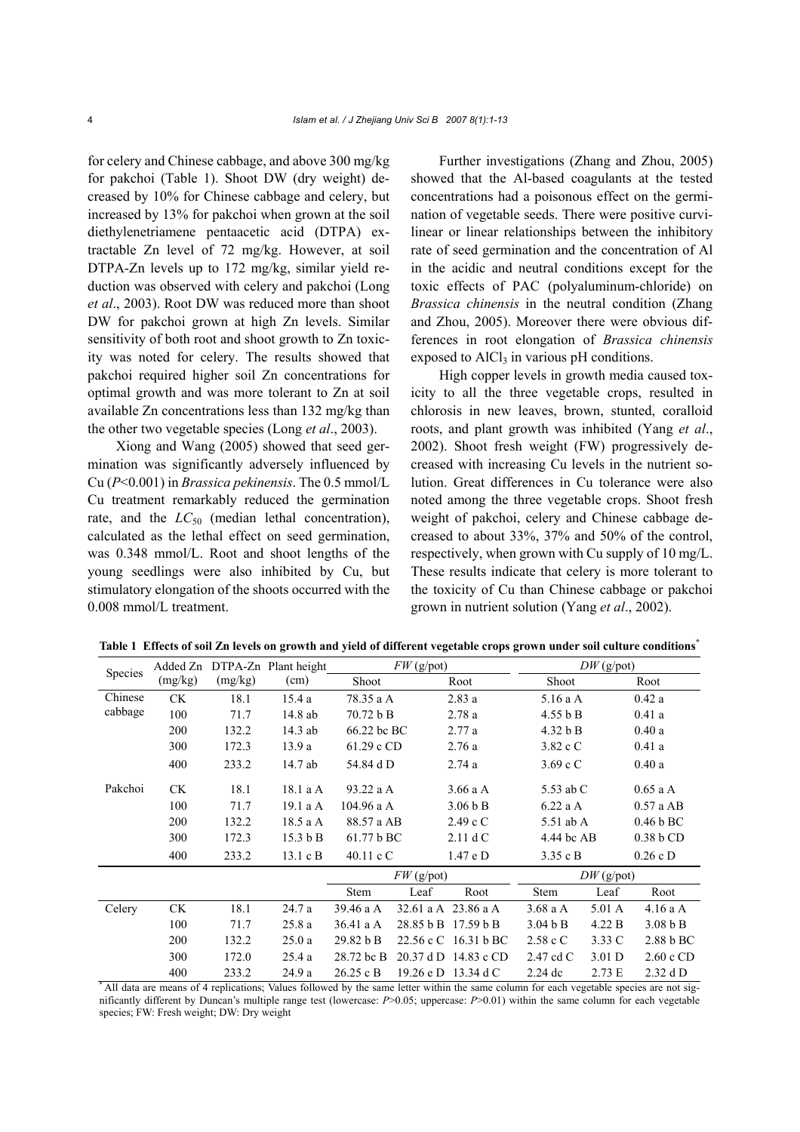for celery and Chinese cabbage, and above 300 mg/kg for pakchoi (Table 1). Shoot DW (dry weight) decreased by 10% for Chinese cabbage and celery, but increased by 13% for pakchoi when grown at the soil diethylenetriamene pentaacetic acid (DTPA) extractable Zn level of 72 mg/kg. However, at soil DTPA-Zn levels up to 172 mg/kg, similar yield reduction was observed with celery and pakchoi (Long *et al*., 2003). Root DW was reduced more than shoot DW for pakchoi grown at high Zn levels. Similar sensitivity of both root and shoot growth to Zn toxicity was noted for celery. The results showed that pakchoi required higher soil Zn concentrations for optimal growth and was more tolerant to Zn at soil available Zn concentrations less than 132 mg/kg than the other two vegetable species (Long *et al*., 2003).

Xiong and Wang (2005) showed that seed germination was significantly adversely influenced by Cu (*P*<0.001) in *Brassica pekinensis*. The 0.5 mmol/L Cu treatment remarkably reduced the germination rate, and the  $LC_{50}$  (median lethal concentration), calculated as the lethal effect on seed germination, was 0.348 mmol/L. Root and shoot lengths of the young seedlings were also inhibited by Cu, but stimulatory elongation of the shoots occurred with the 0.008 mmol/L treatment.

Further investigations (Zhang and Zhou, 2005) showed that the Al-based coagulants at the tested concentrations had a poisonous effect on the germination of vegetable seeds. There were positive curvilinear or linear relationships between the inhibitory rate of seed germination and the concentration of Al in the acidic and neutral conditions except for the toxic effects of PAC (polyaluminum-chloride) on *Brassica chinensis* in the neutral condition (Zhang and Zhou, 2005). Moreover there were obvious differences in root elongation of *Brassica chinensis* exposed to  $AICI<sub>3</sub>$  in various pH conditions.

High copper levels in growth media caused toxicity to all the three vegetable crops, resulted in chlorosis in new leaves, brown, stunted, coralloid roots, and plant growth was inhibited (Yang *et al*., 2002). Shoot fresh weight (FW) progressively decreased with increasing Cu levels in the nutrient solution. Great differences in Cu tolerance were also noted among the three vegetable crops. Shoot fresh weight of pakchoi, celery and Chinese cabbage decreased to about 33%, 37% and 50% of the control, respectively, when grown with Cu supply of 10 mg/L. These results indicate that celery is more tolerant to the toxicity of Cu than Chinese cabbage or pakchoi grown in nutrient solution (Yang *et al*., 2002).

| <b>Species</b> | Added Zn                   |       | DTPA-Zn Plant height | FW(g <sub>/pot</sub> ) |                        |                     | $DW$ (g/pot) |              |                     |
|----------------|----------------------------|-------|----------------------|------------------------|------------------------|---------------------|--------------|--------------|---------------------|
|                | (mg/kg)<br>(mg/kg)<br>(cm) |       |                      | Shoot                  |                        | Root                | Shoot        |              | Root                |
| Chinese        | <b>CK</b>                  | 18.1  | 15.4 a               | 78.35 a A              |                        | 2.83a               | 5.16aA       |              | 0.42a               |
| cabbage        | 100                        | 71.7  | 14.8 ab              | 70.72 b B              |                        | 2.78a               | 4.55 b B     |              | 0.41a               |
|                | 200                        | 132.2 | 14.3 ab              | 66.22 bc BC            |                        | 2.77a               | 4.32 b B     |              | 0.40a               |
|                | 300                        | 172.3 | 13.9 a               | 61.29 c CD             |                        | 2.76a               | 3.82 c C     |              | 0.41a               |
|                | 400                        | 233.2 | 14.7 ab              | 54.84 d D              |                        | 2.74a               | $3.69$ c C   |              | 0.40a               |
| Pakchoi        | <b>CK</b>                  | 18.1  | 18.1 a A             | 93.22 a A              |                        | 3.66aA              | 5.53 ab C    |              | $0.65$ a A          |
|                | 100                        | 71.7  | 19.1 a A             | 104.96 a A             |                        | 3.06 b B            | 6.22 a A     |              | $0.57$ a AB         |
|                | 200                        | 132.2 | 18.5 a A             | 88.57 a AB             |                        | 2.49 c C            | 5.51 ab A    |              | 0.46 b BC           |
|                | 300                        | 172.3 | 15.3 b B             | 61.77 b BC             |                        | $2.11 \text{ dC}$   | 4.44 bc AB   |              | 0.38 b CD           |
|                | 400                        | 233.2 | $13.1 \text{ c B}$   | 40.11 c C              |                        | 1.47 e D            | 3.35 c B     |              | $0.26$ cD           |
|                |                            |       |                      |                        | FW(g <sub>/pot</sub> ) |                     |              | $DW$ (g/pot) |                     |
|                |                            |       |                      | <b>Stem</b>            | Leaf                   | Root                | <b>Stem</b>  | Leaf         | Root                |
| Celery         | <b>CK</b>                  | 18.1  | 24.7 a               | 39.46 a A              |                        | 32.61 a A 23.86 a A | $3.68$ a A   | 5.01 A       | 4.16aA              |
|                | 100                        | 71.7  | 25.8a                | 36.41 a A              | 28.85 b B              | 17.59 b B           | 3.04 b B     | 4.22 B       | 3.08 b B            |
|                | 200                        | 132.2 | 25.0a                | 29.82 b B              | 22.56 c C              | 16.31 b BC          | 2.58 c C     | 3.33 C       | 2.88 b BC           |
|                | 300                        | 172.0 | 25.4a                | 28.72 bc B             | 20.37 dD               | 14.83 c CD          | 2.47 cd C    | 3.01 D       | $2.60 \text{ c}$ CD |
|                | 400                        | 233.2 | 24.9 a               | 26.25 c B              | $19.26 \text{ e } D$   | 13.34 d C           | $2.24$ dc    | 2.73 E       | 2.32 d D            |

**Table 1 Effects of soil Zn levels on growth and yield of different vegetable crops grown under soil culture conditions\***

<sup>\*</sup>All data are means of 4 replications; Values followed by the same letter within the same column for each vegetable species are not significantly different by Duncan's multiple range test (lowercase: *P*>0.05; uppercase: *P*>0.01) within the same column for each vegetable species; FW: Fresh weight; DW: Dry weight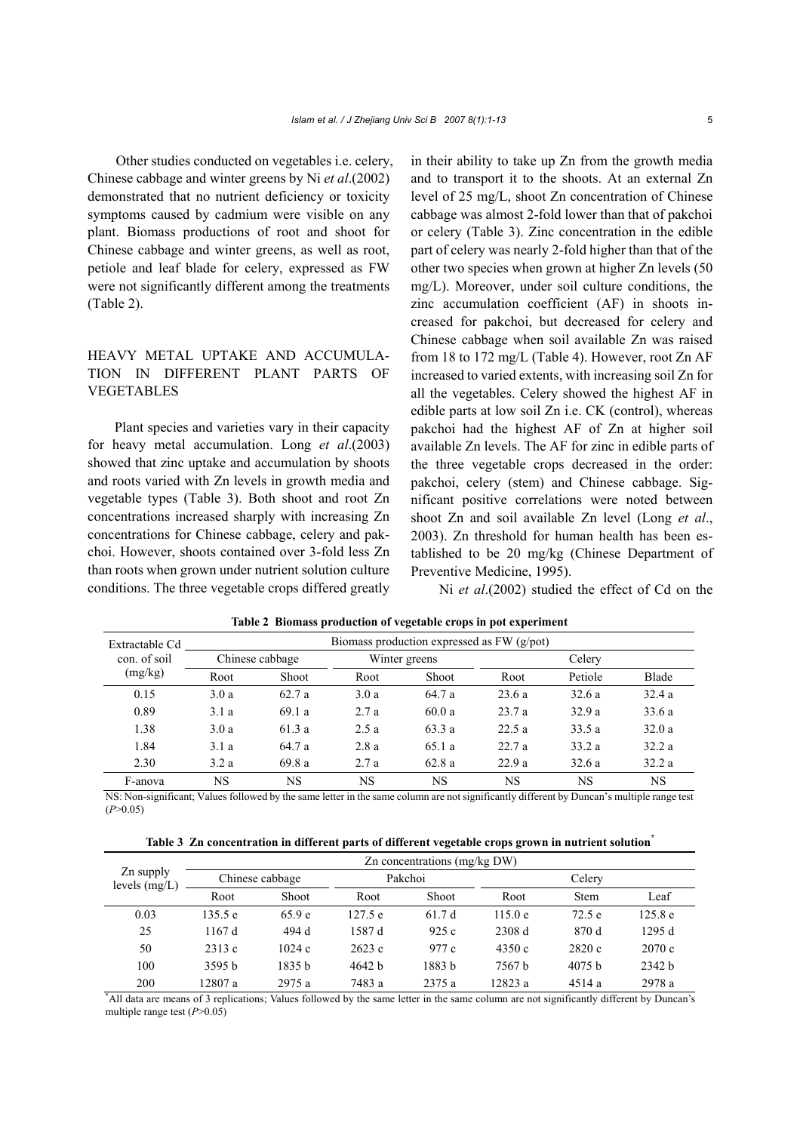Other studies conducted on vegetables i.e. celery, Chinese cabbage and winter greens by Ni *et al*.(2002) demonstrated that no nutrient deficiency or toxicity symptoms caused by cadmium were visible on any plant. Biomass productions of root and shoot for Chinese cabbage and winter greens, as well as root, petiole and leaf blade for celery, expressed as FW were not significantly different among the treatments (Table 2).

# HEAVY METAL UPTAKE AND ACCUMULA-TION IN DIFFERENT PLANT PARTS OF VEGETABLES

Plant species and varieties vary in their capacity for heavy metal accumulation. Long *et al*.(2003) showed that zinc uptake and accumulation by shoots and roots varied with Zn levels in growth media and vegetable types (Table 3). Both shoot and root Zn concentrations increased sharply with increasing Zn concentrations for Chinese cabbage, celery and pakchoi. However, shoots contained over 3-fold less Zn than roots when grown under nutrient solution culture conditions. The three vegetable crops differed greatly

in their ability to take up Zn from the growth media and to transport it to the shoots. At an external Zn level of 25 mg/L, shoot Zn concentration of Chinese cabbage was almost 2-fold lower than that of pakchoi or celery (Table 3). Zinc concentration in the edible part of celery was nearly 2-fold higher than that of the other two species when grown at higher Zn levels (50 mg/L). Moreover, under soil culture conditions, the zinc accumulation coefficient (AF) in shoots increased for pakchoi, but decreased for celery and Chinese cabbage when soil available Zn was raised from 18 to 172 mg/L (Table 4). However, root Zn AF increased to varied extents, with increasing soil Zn for all the vegetables. Celery showed the highest AF in edible parts at low soil Zn i.e. CK (control), whereas pakchoi had the highest AF of Zn at higher soil available Zn levels. The AF for zinc in edible parts of the three vegetable crops decreased in the order: pakchoi, celery (stem) and Chinese cabbage. Significant positive correlations were noted between shoot Zn and soil available Zn level (Long *et al*., 2003). Zn threshold for human health has been established to be 20 mg/kg (Chinese Department of Preventive Medicine, 1995).

Ni *et al*.(2002) studied the effect of Cd on the

| Extractable Cd | Biomass production expressed as FW (g/pot) |                 |      |               |        |           |       |  |  |  |
|----------------|--------------------------------------------|-----------------|------|---------------|--------|-----------|-------|--|--|--|
| con. of soil   |                                            | Chinese cabbage |      | Winter greens | Celery |           |       |  |  |  |
| (mg/kg)        | Root                                       | Shoot           | Root | Shoot         | Root   | Petiole   | Blade |  |  |  |
| 0.15           | 3.0a                                       | 62.7a           | 3.0a | 64.7 a        | 23.6a  | 32.6a     | 32.4a |  |  |  |
| 0.89           | 3.1a                                       | 69.1a           | 2.7a | 60.0a         | 23.7a  | 32.9a     | 33.6a |  |  |  |
| 1.38           | 3.0a                                       | 61.3 a          | 2.5a | 63.3a         | 22.5a  | 33.5a     | 32.0a |  |  |  |
| 1.84           | 3.1a                                       | 64.7 a          | 2.8a | 65.1a         | 22.7a  | 33.2 a    | 32.2a |  |  |  |
| 2.30           | 3.2a                                       | 69.8a           | 2.7a | 62.8a         | 22.9a  | 32.6a     | 32.2a |  |  |  |
| F-anova        | NS                                         | NS              | NS   | NS            | NS     | <b>NS</b> | NS    |  |  |  |

**Table 2 Biomass production of vegetable crops in pot experiment** 

NS: Non-significant; Values followed by the same letter in the same column are not significantly different by Duncan's multiple range test  $(P>0.05)$ 

| Table 3 $Z$ n concentration in different parts of different vegetable crops grown in nutrient solution $\tilde{ }$ |  |  |
|--------------------------------------------------------------------------------------------------------------------|--|--|
|                                                                                                                    |  |  |
|                                                                                                                    |  |  |
|                                                                                                                    |  |  |

|                                                                                                                                          | Zn concentrations (mg/kg DW) |                 |         |              |         |             |         |  |  |  |
|------------------------------------------------------------------------------------------------------------------------------------------|------------------------------|-----------------|---------|--------------|---------|-------------|---------|--|--|--|
| Zn supply<br>levels $(mg/L)$                                                                                                             |                              | Chinese cabbage |         | Pakchoi      |         | Celery      |         |  |  |  |
|                                                                                                                                          | Root                         | <b>Shoot</b>    | Root    | <b>Shoot</b> | Root    | <b>Stem</b> | Leaf    |  |  |  |
| 0.03                                                                                                                                     | 135.5 e                      | 65.9e           | 127.5 e | 61.7d        | 115.0 e | 72.5e       | 125.8 e |  |  |  |
| 25                                                                                                                                       | 1167d                        | 494 d           | 1587 d  | 925c         | 2308 d  | 870 d       | 1295d   |  |  |  |
| 50                                                                                                                                       | 2313c                        | 1024c           | 2623c   | 977 c        | 4350c   | 2820c       | 2070c   |  |  |  |
| 100                                                                                                                                      | 3595h                        | 1835h           | 4642 h  | 1883 b       | 7567 b  | 4075 b      | 2342 b  |  |  |  |
| 200                                                                                                                                      | 12807 a                      | 2975a           | 7483 a  | 2375a        | 12823 a | 4514 a      | 2978 a  |  |  |  |
| *All data are means of 3 replications; Values followed by the same letter in the same column are not significantly different by Duncan's |                              |                 |         |              |         |             |         |  |  |  |

multiple range test (*P*>0.05)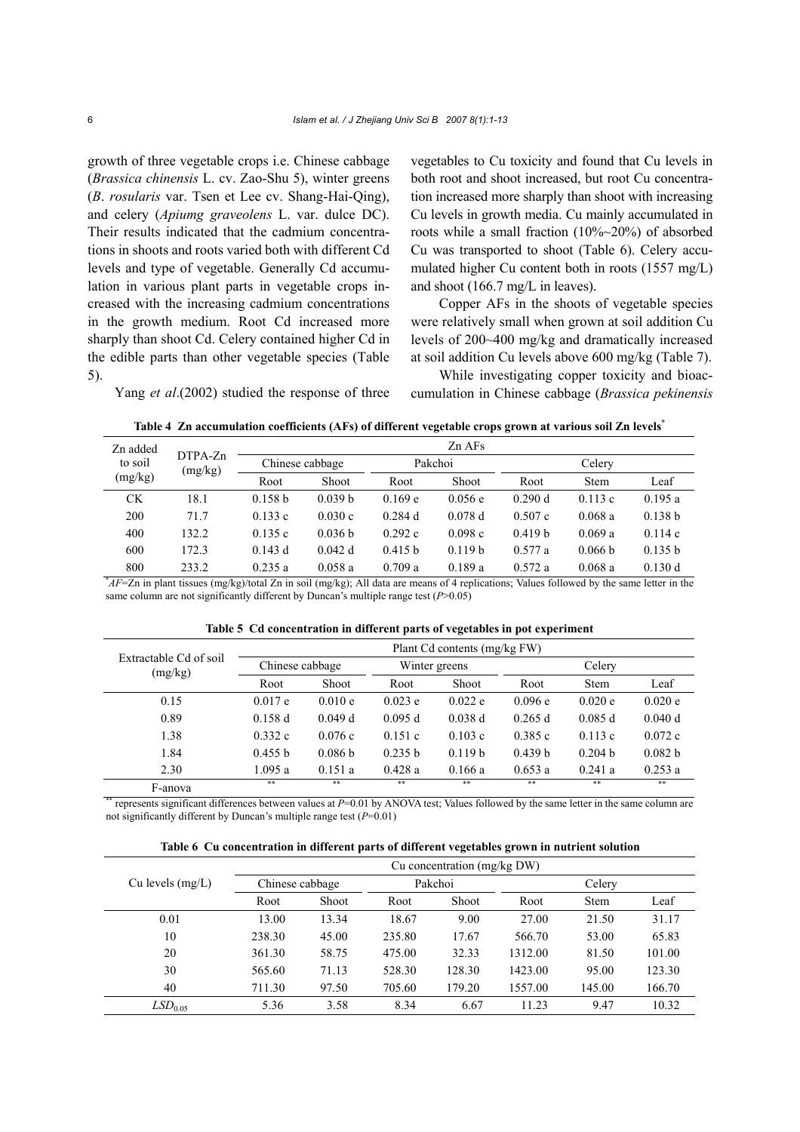growth of three vegetable crops i.e. Chinese cabbage (*Brassica chinensis* L. cv. Zao-Shu 5), winter greens (*B*. *rosularis* var. Tsen et Lee cv. Shang-Hai-Qing), and celery (*Apiumg graveolens* L. var. dulce DC). Their results indicated that the cadmium concentrations in shoots and roots varied both with different Cd levels and type of vegetable. Generally Cd accumulation in various plant parts in vegetable crops increased with the increasing cadmium concentrations in the growth medium. Root Cd increased more sharply than shoot Cd. Celery contained higher Cd in the edible parts than other vegetable species (Table 5).

vegetables to Cu toxicity and found that Cu levels in both root and shoot increased, but root Cu concentration increased more sharply than shoot with increasing Cu levels in growth media. Cu mainly accumulated in roots while a small fraction (10%~20%) of absorbed Cu was transported to shoot (Table 6). Celery accumulated higher Cu content both in roots (1557 mg/L) and shoot (166.7 mg/L in leaves).

Copper AFs in the shoots of vegetable species were relatively small when grown at soil addition Cu levels of 200~400 mg/kg and dramatically increased at soil addition Cu levels above 600 mg/kg (Table 7).

While investigating copper toxicity and bioaccumulation in Chinese cabbage (*Brassica pekinensis*

Yang *et al*.(2002) studied the response of three

**Table 4 Zn accumulation coefficients (AFs) of different vegetable crops grown at various soil Zn levels\***

| Zn added  |                                                                                                                                               | Zn AFs          |                    |           |                    |                    |             |         |  |
|-----------|-----------------------------------------------------------------------------------------------------------------------------------------------|-----------------|--------------------|-----------|--------------------|--------------------|-------------|---------|--|
| to soil   | $DTPA-Zn$<br>(mg/kg)                                                                                                                          | Chinese cabbage |                    |           | Pakchoi            |                    | Celery      |         |  |
| (mg/kg)   |                                                                                                                                               | Root            | Shoot              | Root      | <b>Shoot</b>       | Root               | <b>Stem</b> | Leaf    |  |
| <b>CK</b> | 18.1                                                                                                                                          | 0.158 b         | 0.039 <sub>b</sub> | 0.169 e   | 0.056e             | 0.290 d            | 0.113c      | 0.195a  |  |
| 200       | 71.7                                                                                                                                          | 0.133c          | 0.030c             | $0.284$ d | 0.078d             | 0.507c             | 0.068a      | 0.138 b |  |
| 400       | 132.2                                                                                                                                         | 0.135c          | 0.036 b            | 0.292c    | 0.098c             | 0.419 <sub>b</sub> | 0.069a      | 0.114c  |  |
| 600       | 172.3                                                                                                                                         | $0.143$ d       | $0.042$ d          | 0.415h    | 0.119 <sub>b</sub> | 0.577a             | 0.066 b     | 0.135 b |  |
| 800       | 233.2                                                                                                                                         | 0.235a          | 0.058a             | 0.709a    | 0.189a             | 0.572a             | 0.068a      | 0.130 d |  |
|           | $A F = Zn$ in plant tissues (mg/kg)/total Zn in soil (mg/kg); All data are means of 4 replications; Values followed by the same letter in the |                 |                    |           |                    |                    |             |         |  |

same column are not significantly different by Duncan's multiple range test  $(P>0.05)$ 

| Table 5 Cd concentration in different parts of vegetables in pot experiment |  |  |
|-----------------------------------------------------------------------------|--|--|
|                                                                             |  |  |

|                                   | Plant Cd contents (mg/kg FW) |                    |               |              |           |             |         |  |  |
|-----------------------------------|------------------------------|--------------------|---------------|--------------|-----------|-------------|---------|--|--|
| Extractable Cd of soil<br>(mg/kg) | Chinese cabbage              |                    | Winter greens |              | Celery    |             |         |  |  |
|                                   | Root                         | <b>Shoot</b>       | Root          | <b>Shoot</b> | Root      | <b>Stem</b> | Leaf    |  |  |
| 0.15                              | 0.017 e                      | 0.010 e            | $0.023$ e     | 0.022 e      | 0.096 e   | 0.020 e     | 0.020 e |  |  |
| 0.89                              | 0.158d                       | 0.049 d            | 0.095 d       | $0.038$ d    | $0.265$ d | 0.085 d     | 0.040 d |  |  |
| 1.38                              | 0.332c                       | 0.076c             | 0.151c        | 0.103c       | 0.385c    | 0.113c      | 0.072c  |  |  |
| 1.84                              | 0.455 b                      | 0.086 <sub>b</sub> | 0.235 b       | 0.119 b      | 0.439 b   | 0.204 b     | 0.082 b |  |  |
| 2.30                              | 1.095a                       | 0.151a             | 0.428a        | 0.166a       | 0.653a    | 0.241a      | 0.253a  |  |  |
| F-anova                           | **                           | **                 | **            | **           | **        | **          | **      |  |  |

\* represents significant differences between values at *P*=0.01 by ANOVA test; Values followed by the same letter in the same column are not significantly different by Duncan's multiple range test  $(P=0.01)$ 

|  |  | Table 6 Cu concentration in different parts of different vegetables grown in nutrient solution |
|--|--|------------------------------------------------------------------------------------------------|
|  |  |                                                                                                |

|                     | Cu concentration (mg/kg DW) |       |         |              |         |             |        |  |  |
|---------------------|-----------------------------|-------|---------|--------------|---------|-------------|--------|--|--|
| Cu levels $(mg/L)$  | Chinese cabbage             |       | Pakchoi |              | Celery  |             |        |  |  |
|                     | Root                        | Shoot | Root    | <b>Shoot</b> | Root    | <b>Stem</b> | Leaf   |  |  |
| 0.01                | 13.00                       | 13.34 | 18.67   | 9.00         | 27.00   | 21.50       | 31.17  |  |  |
| 10                  | 238.30                      | 45.00 | 235.80  | 17.67        | 566.70  | 53.00       | 65.83  |  |  |
| 20                  | 361.30                      | 58.75 | 475.00  | 32.33        | 1312.00 | 81.50       | 101.00 |  |  |
| 30                  | 565.60                      | 71.13 | 528.30  | 128.30       | 1423.00 | 95.00       | 123.30 |  |  |
| 40                  | 711.30                      | 97.50 | 705.60  | 179.20       | 1557.00 | 145.00      | 166.70 |  |  |
| LSD <sub>0.05</sub> | 5.36                        | 3.58  | 8.34    | 6.67         | 11.23   | 9.47        | 10.32  |  |  |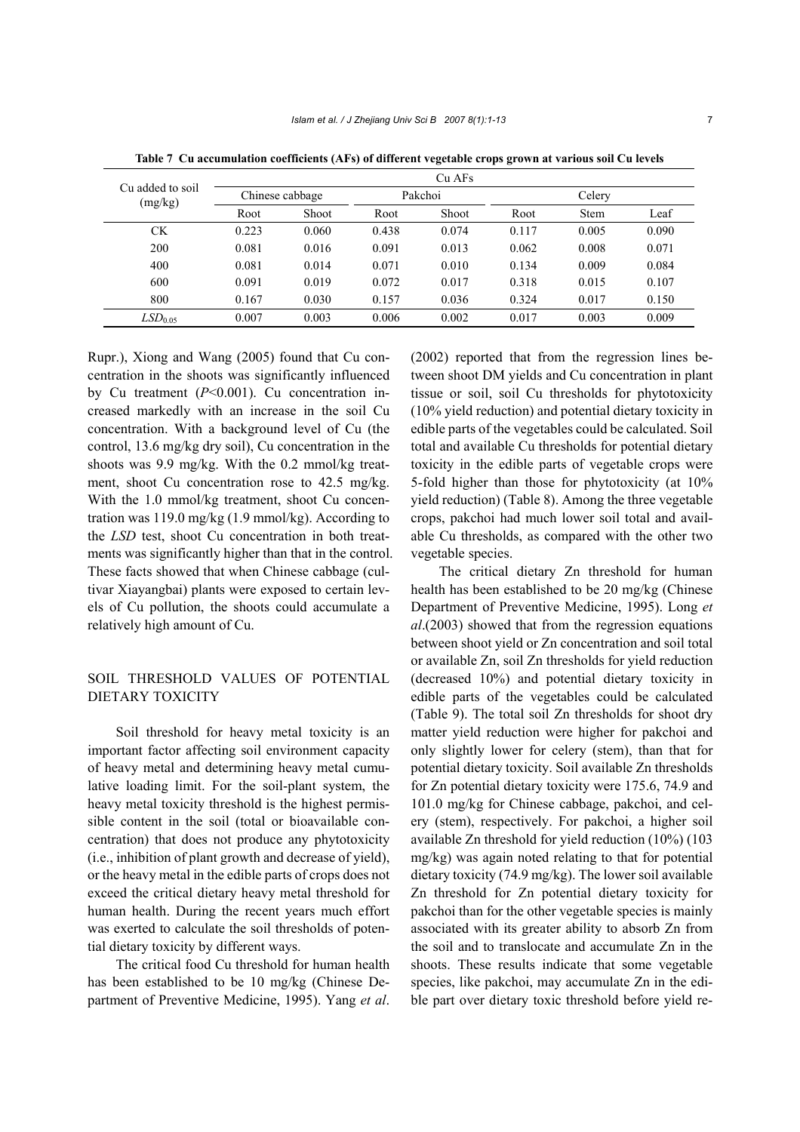|                             | Cu AFs          |              |         |       |        |             |       |  |
|-----------------------------|-----------------|--------------|---------|-------|--------|-------------|-------|--|
| Cu added to soil<br>(mg/kg) | Chinese cabbage |              | Pakchoi |       | Celery |             |       |  |
|                             | Root            | <b>Shoot</b> | Root    | Shoot | Root   | <b>Stem</b> | Leaf  |  |
| <b>CK</b>                   | 0.223           | 0.060        | 0.438   | 0.074 | 0.117  | 0.005       | 0.090 |  |
| 200                         | 0.081           | 0.016        | 0.091   | 0.013 | 0.062  | 0.008       | 0.071 |  |
| 400                         | 0.081           | 0.014        | 0.071   | 0.010 | 0.134  | 0.009       | 0.084 |  |
| 600                         | 0.091           | 0.019        | 0.072   | 0.017 | 0.318  | 0.015       | 0.107 |  |
| 800                         | 0.167           | 0.030        | 0.157   | 0.036 | 0.324  | 0.017       | 0.150 |  |
| LSD <sub>0.05</sub>         | 0.007           | 0.003        | 0.006   | 0.002 | 0.017  | 0.003       | 0.009 |  |

**Table 7 Cu accumulation coefficients (AFs) of different vegetable crops grown at various soil Cu levels** 

Rupr.), Xiong and Wang (2005) found that Cu concentration in the shoots was significantly influenced by Cu treatment (*P*<0.001). Cu concentration increased markedly with an increase in the soil Cu concentration. With a background level of Cu (the control, 13.6 mg/kg dry soil), Cu concentration in the shoots was 9.9 mg/kg. With the 0.2 mmol/kg treatment, shoot Cu concentration rose to 42.5 mg/kg. With the 1.0 mmol/kg treatment, shoot Cu concentration was 119.0 mg/kg (1.9 mmol/kg). According to the *LSD* test, shoot Cu concentration in both treatments was significantly higher than that in the control. These facts showed that when Chinese cabbage (cultivar Xiayangbai) plants were exposed to certain levels of Cu pollution, the shoots could accumulate a relatively high amount of Cu.

#### SOIL THRESHOLD VALUES OF POTENTIAL DIETARY TOXICITY

Soil threshold for heavy metal toxicity is an important factor affecting soil environment capacity of heavy metal and determining heavy metal cumulative loading limit. For the soil-plant system, the heavy metal toxicity threshold is the highest permissible content in the soil (total or bioavailable concentration) that does not produce any phytotoxicity (i.e., inhibition of plant growth and decrease of yield), or the heavy metal in the edible parts of crops does not exceed the critical dietary heavy metal threshold for human health. During the recent years much effort was exerted to calculate the soil thresholds of potential dietary toxicity by different ways.

The critical food Cu threshold for human health has been established to be 10 mg/kg (Chinese Department of Preventive Medicine, 1995). Yang *et al*. (2002) reported that from the regression lines between shoot DM yields and Cu concentration in plant tissue or soil, soil Cu thresholds for phytotoxicity (10% yield reduction) and potential dietary toxicity in edible parts of the vegetables could be calculated. Soil total and available Cu thresholds for potential dietary toxicity in the edible parts of vegetable crops were 5-fold higher than those for phytotoxicity (at 10% yield reduction) (Table 8). Among the three vegetable crops, pakchoi had much lower soil total and available Cu thresholds, as compared with the other two vegetable species.

The critical dietary Zn threshold for human health has been established to be 20 mg/kg (Chinese Department of Preventive Medicine, 1995). Long *et al*.(2003) showed that from the regression equations between shoot yield or Zn concentration and soil total or available Zn, soil Zn thresholds for yield reduction (decreased 10%) and potential dietary toxicity in edible parts of the vegetables could be calculated (Table 9). The total soil Zn thresholds for shoot dry matter yield reduction were higher for pakchoi and only slightly lower for celery (stem), than that for potential dietary toxicity. Soil available Zn thresholds for Zn potential dietary toxicity were 175.6, 74.9 and 101.0 mg/kg for Chinese cabbage, pakchoi, and celery (stem), respectively. For pakchoi, a higher soil available Zn threshold for yield reduction (10%) (103 mg/kg) was again noted relating to that for potential dietary toxicity (74.9 mg/kg). The lower soil available Zn threshold for Zn potential dietary toxicity for pakchoi than for the other vegetable species is mainly associated with its greater ability to absorb Zn from the soil and to translocate and accumulate Zn in the shoots. These results indicate that some vegetable species, like pakchoi, may accumulate Zn in the edible part over dietary toxic threshold before yield re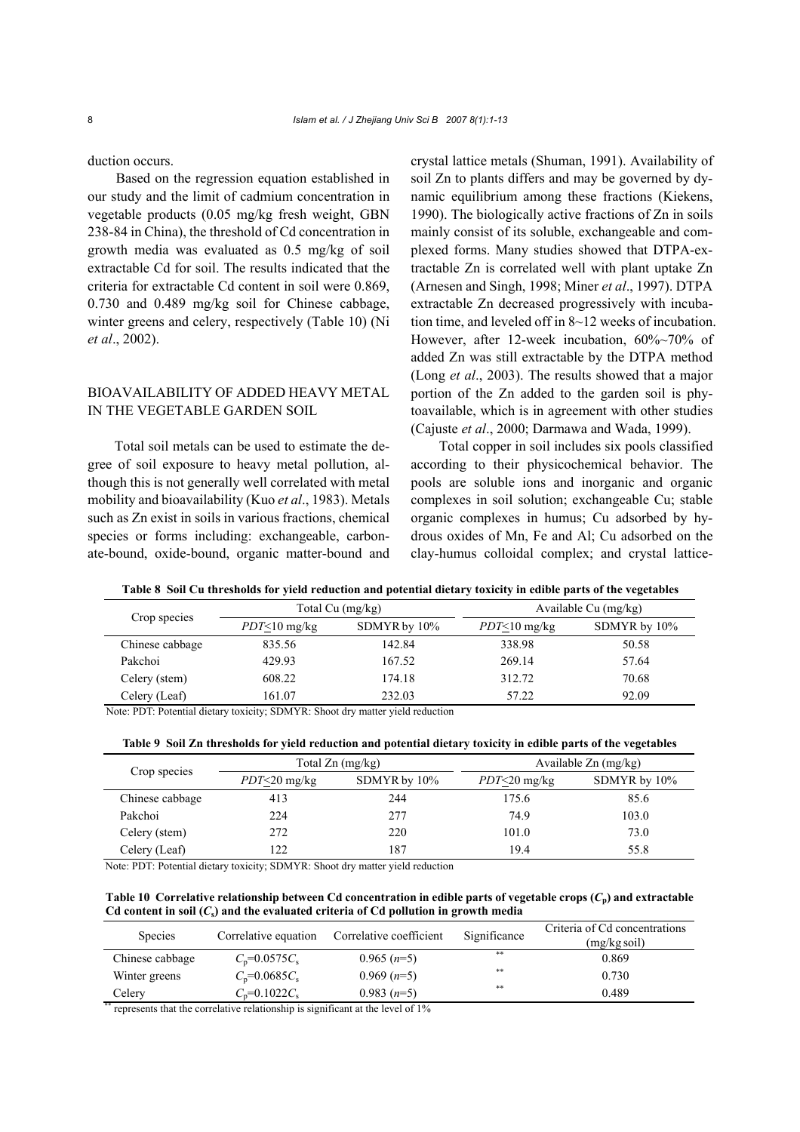duction occurs.

Based on the regression equation established in our study and the limit of cadmium concentration in vegetable products (0.05 mg/kg fresh weight, GBN 238-84 in China), the threshold of Cd concentration in growth media was evaluated as 0.5 mg/kg of soil extractable Cd for soil. The results indicated that the criteria for extractable Cd content in soil were 0.869, 0.730 and 0.489 mg/kg soil for Chinese cabbage, winter greens and celery, respectively (Table 10) (Ni *et al*., 2002).

## BIOAVAILABILITY OF ADDED HEAVY METAL IN THE VEGETABLE GARDEN SOIL

Total soil metals can be used to estimate the degree of soil exposure to heavy metal pollution, although this is not generally well correlated with metal mobility and bioavailability (Kuo *et al*., 1983). Metals such as Zn exist in soils in various fractions, chemical species or forms including: exchangeable, carbonate-bound, oxide-bound, organic matter-bound and

crystal lattice metals (Shuman, 1991). Availability of soil Zn to plants differs and may be governed by dynamic equilibrium among these fractions (Kiekens, 1990). The biologically active fractions of Zn in soils mainly consist of its soluble, exchangeable and complexed forms. Many studies showed that DTPA-extractable Zn is correlated well with plant uptake Zn (Arnesen and Singh, 1998; Miner *et al*., 1997). DTPA extractable Zn decreased progressively with incubation time, and leveled off in 8~12 weeks of incubation. However, after 12-week incubation,  $60\%~70\%$  of added Zn was still extractable by the DTPA method (Long *et al*., 2003). The results showed that a major portion of the Zn added to the garden soil is phytoavailable, which is in agreement with other studies (Cajuste *et al*., 2000; Darmawa and Wada, 1999).

Total copper in soil includes six pools classified according to their physicochemical behavior. The pools are soluble ions and inorganic and organic complexes in soil solution; exchangeable Cu; stable organic complexes in humus; Cu adsorbed by hydrous oxides of Mn, Fe and Al; Cu adsorbed on the clay-humus colloidal complex; and crystal lattice-

| Table 8 Soil Cu thresholds for yield reduction and potential dietary toxicity in edible parts of the vegetables |  |  |
|-----------------------------------------------------------------------------------------------------------------|--|--|
|                                                                                                                 |  |  |

|                 |                | Total Cu (mg/kg) | Available Cu (mg/kg) |              |  |  |
|-----------------|----------------|------------------|----------------------|--------------|--|--|
| Crop species    | $PDT<10$ mg/kg | SDMYR by 10%     | $PDT<10$ mg/kg       | SDMYR by 10% |  |  |
| Chinese cabbage | 835.56         | 142.84           | 338.98               | 50.58        |  |  |
| Pakchoi         | 429.93         | 167.52           | 269.14               | 57.64        |  |  |
| Celery (stem)   | 608.22         | 174.18           | 312.72               | 70.68        |  |  |
| Celery (Leaf)   | 161.07         | 232.03           | 57.22                | 92.09        |  |  |

Note: PDT: Potential dietary toxicity; SDMYR: Shoot dry matter yield reduction

| Table 9 Soil Zn thresholds for yield reduction and potential dietary toxicity in edible parts of the vegetables |  |  |
|-----------------------------------------------------------------------------------------------------------------|--|--|
|                                                                                                                 |  |  |

| Crop species    | Total $Zn$ (mg/kg) |              | Available $Zn$ (mg/kg) |              |
|-----------------|--------------------|--------------|------------------------|--------------|
|                 | $PDT<20$ mg/kg     | SDMYR by 10% | $PDT<20$ mg/kg         | SDMYR by 10% |
| Chinese cabbage | 413                | 244          | 175.6                  | 85.6         |
| Pakchoi         | 224                | 277          | 74.9                   | 103.0        |
| Celery (stem)   | 272                | 220          | 101.0                  | 73.0         |
| Celery (Leaf)   | 122                | 187          | 19.4                   | 55.8         |

Note: PDT: Potential dietary toxicity; SDMYR: Shoot dry matter yield reduction

| Table 10 Correlative relationship between Cd concentration in edible parts of vegetable crops $(C_p)$ and extractable |  |
|-----------------------------------------------------------------------------------------------------------------------|--|
| Cd content in soil $(C_s)$ and the evaluated criteria of Cd pollution in growth media                                 |  |

| <b>Species</b>  | Correlative equation           | Correlative coefficient | Significance | Criteria of Cd concentrations<br>$(mg/kg\,soil)$ |
|-----------------|--------------------------------|-------------------------|--------------|--------------------------------------------------|
| Chinese cabbage | $C_p = 0.0575C_s$              | $0.965(n=5)$            | **           | 0.869                                            |
| Winter greens   | $C_{\rm p} = 0.0685 C_{\rm s}$ | $0.969(n=5)$            | **           | 0.730                                            |
| Celery          | $C_{\rm n} = 0.1022 C_{\rm s}$ | $0.983(n=5)$            | **           | 0.489                                            |

<sup>\*\*</sup> represents that the correlative relationship is significant at the level of 1%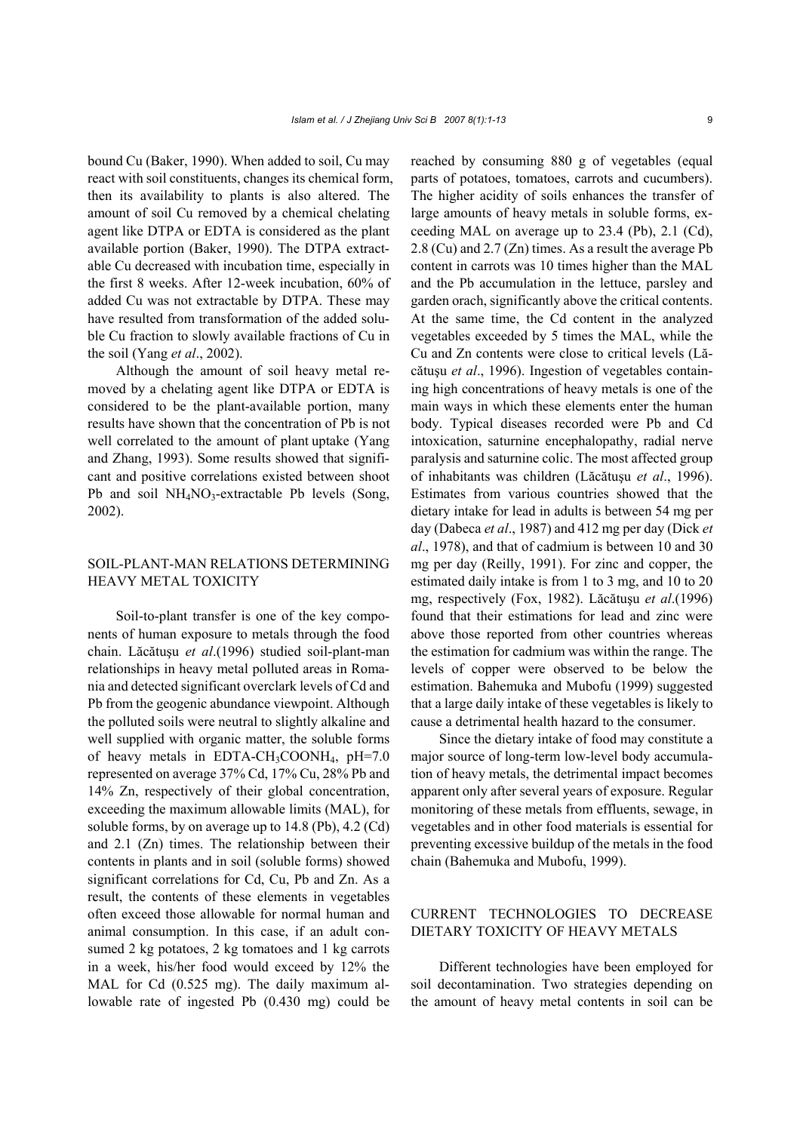bound Cu (Baker, 1990). When added to soil, Cu may react with soil constituents, changes its chemical form, then its availability to plants is also altered. The amount of soil Cu removed by a chemical chelating agent like DTPA or EDTA is considered as the plant available portion (Baker, 1990). The DTPA extractable Cu decreased with incubation time, especially in the first 8 weeks. After 12-week incubation, 60% of added Cu was not extractable by DTPA. These may have resulted from transformation of the added soluble Cu fraction to slowly available fractions of Cu in the soil (Yang *et al*., 2002).

Although the amount of soil heavy metal removed by a chelating agent like DTPA or EDTA is considered to be the plant-available portion, many results have shown that the concentration of Pb is not well correlated to the amount of plant uptake (Yang and Zhang, 1993). Some results showed that significant and positive correlations existed between shoot Pb and soil  $NH_4NO_3$ -extractable Pb levels (Song, 2002).

#### SOIL-PLANT-MAN RELATIONS DETERMINING HEAVY METAL TOXICITY

Soil-to-plant transfer is one of the key components of human exposure to metals through the food chain. Lăcătuşu *et al*.(1996) studied soil-plant-man relationships in heavy metal polluted areas in Romania and detected significant overclark levels of Cd and Pb from the geogenic abundance viewpoint. Although the polluted soils were neutral to slightly alkaline and well supplied with organic matter, the soluble forms of heavy metals in EDTA-CH<sub>3</sub>COONH<sub>4</sub>, pH=7.0 represented on average 37% Cd, 17% Cu, 28% Pb and 14% Zn, respectively of their global concentration, exceeding the maximum allowable limits (MAL), for soluble forms, by on average up to 14.8 (Pb), 4.2 (Cd) and 2.1 (Zn) times. The relationship between their contents in plants and in soil (soluble forms) showed significant correlations for Cd, Cu, Pb and Zn. As a result, the contents of these elements in vegetables often exceed those allowable for normal human and animal consumption. In this case, if an adult consumed 2 kg potatoes, 2 kg tomatoes and 1 kg carrots in a week, his/her food would exceed by 12% the MAL for Cd (0.525 mg). The daily maximum allowable rate of ingested Pb (0.430 mg) could be

reached by consuming 880 g of vegetables (equal parts of potatoes, tomatoes, carrots and cucumbers). The higher acidity of soils enhances the transfer of large amounts of heavy metals in soluble forms, exceeding MAL on average up to 23.4 (Pb), 2.1 (Cd), 2.8 (Cu) and 2.7 (Zn) times. As a result the average Pb content in carrots was 10 times higher than the MAL and the Pb accumulation in the lettuce, parsley and garden orach, significantly above the critical contents. At the same time, the Cd content in the analyzed vegetables exceeded by 5 times the MAL, while the Cu and Zn contents were close to critical levels (Lăcătuşu *et al*., 1996). Ingestion of vegetables containing high concentrations of heavy metals is one of the main ways in which these elements enter the human body. Typical diseases recorded were Pb and Cd intoxication, saturnine encephalopathy, radial nerve paralysis and saturnine colic. The most affected group of inhabitants was children (Lăcătuşu *et al*., 1996). Estimates from various countries showed that the dietary intake for lead in adults is between 54 mg per day (Dabeca *et al*., 1987) and 412 mg per day (Dick *et al*., 1978), and that of cadmium is between 10 and 30 mg per day (Reilly, 1991). For zinc and copper, the estimated daily intake is from 1 to 3 mg, and 10 to 20 mg, respectively (Fox, 1982). Lăcătuşu *et al*.(1996) found that their estimations for lead and zinc were above those reported from other countries whereas the estimation for cadmium was within the range. The levels of copper were observed to be below the estimation. Bahemuka and Mubofu (1999) suggested that a large daily intake of these vegetables is likely to cause a detrimental health hazard to the consumer.

Since the dietary intake of food may constitute a major source of long-term low-level body accumulation of heavy metals, the detrimental impact becomes apparent only after several years of exposure. Regular monitoring of these metals from effluents, sewage, in vegetables and in other food materials is essential for preventing excessive buildup of the metals in the food chain (Bahemuka and Mubofu, 1999).

## CURRENT TECHNOLOGIES TO DECREASE DIETARY TOXICITY OF HEAVY METALS

Different technologies have been employed for soil decontamination. Two strategies depending on the amount of heavy metal contents in soil can be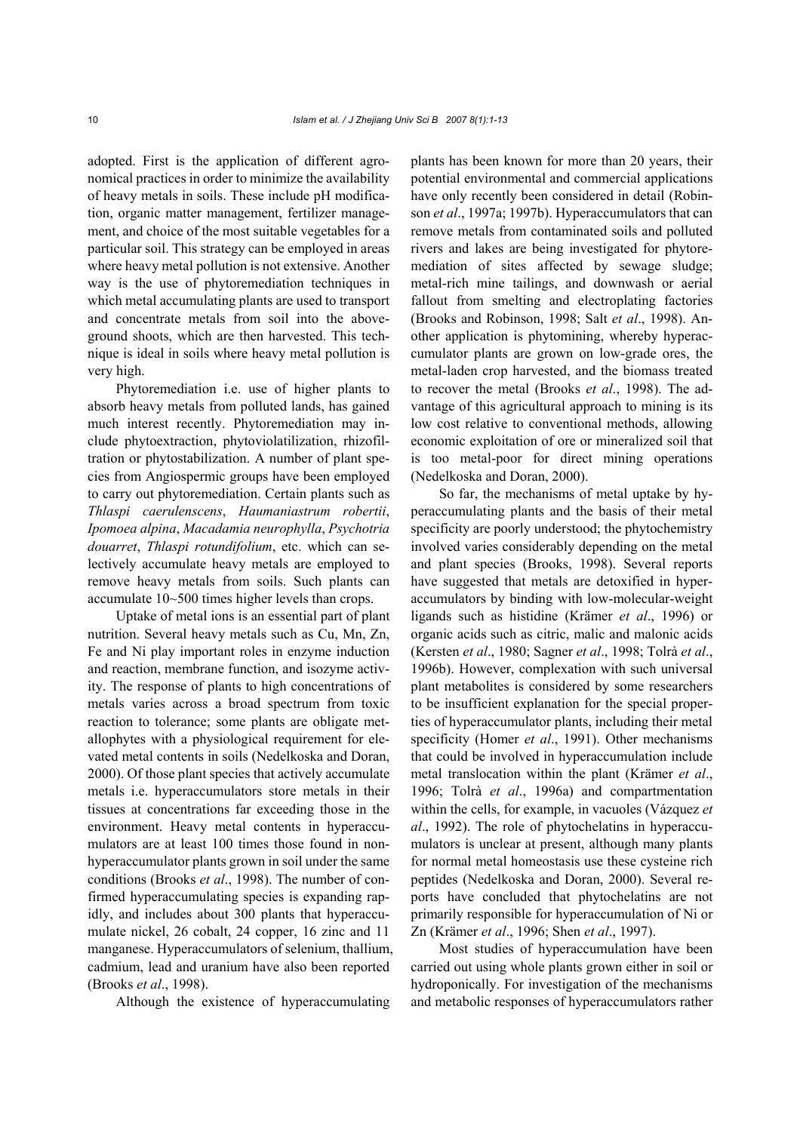adopted. First is the application of different agronomical practices in order to minimize the availability of heavy metals in soils. These include pH modification, organic matter management, fertilizer management, and choice of the most suitable vegetables for a particular soil. This strategy can be employed in areas where heavy metal pollution is not extensive. Another way is the use of phytoremediation techniques in which metal accumulating plants are used to transport and concentrate metals from soil into the aboveground shoots, which are then harvested. This technique is ideal in soils where heavy metal pollution is very high.

Phytoremediation i.e. use of higher plants to absorb heavy metals from polluted lands, has gained much interest recently. Phytoremediation may include phytoextraction, phytoviolatilization, rhizofiltration or phytostabilization. A number of plant species from Angiospermic groups have been employed to carry out phytoremediation. Certain plants such as *Thlaspi caerulenscens*, *Haumaniastrum robertii*, *Ipomoea alpina*, *Macadamia neurophylla*, *Psychotria douarret*, *Thlaspi rotundifolium*, etc. which can selectively accumulate heavy metals are employed to remove heavy metals from soils. Such plants can accumulate 10~500 times higher levels than crops.

Uptake of metal ions is an essential part of plant nutrition. Several heavy metals such as Cu, Mn, Zn, Fe and Ni play important roles in enzyme induction and reaction, membrane function, and isozyme activity. The response of plants to high concentrations of metals varies across a broad spectrum from toxic reaction to tolerance; some plants are obligate metallophytes with a physiological requirement for elevated metal contents in soils (Nedelkoska and Doran, 2000). Of those plant species that actively accumulate metals i.e. hyperaccumulators store metals in their tissues at concentrations far exceeding those in the environment. Heavy metal contents in hyperaccumulators are at least 100 times those found in nonhyperaccumulator plants grown in soil under the same conditions (Brooks *et al*., 1998). The number of confirmed hyperaccumulating species is expanding rapidly, and includes about 300 plants that hyperaccumulate nickel, 26 cobalt, 24 copper, 16 zinc and 11 manganese. Hyperaccumulators of selenium, thallium, cadmium, lead and uranium have also been reported (Brooks *et al*., 1998).

Although the existence of hyperaccumulating

plants has been known for more than 20 years, their potential environmental and commercial applications have only recently been considered in detail (Robinson *et al*., 1997a; 1997b). Hyperaccumulators that can remove metals from contaminated soils and polluted rivers and lakes are being investigated for phytoremediation of sites affected by sewage sludge; metal-rich mine tailings, and downwash or aerial fallout from smelting and electroplating factories (Brooks and Robinson, 1998; Salt *et al*., 1998). Another application is phytomining, whereby hyperaccumulator plants are grown on low-grade ores, the metal-laden crop harvested, and the biomass treated to recover the metal (Brooks *et al*., 1998). The advantage of this agricultural approach to mining is its low cost relative to conventional methods, allowing economic exploitation of ore or mineralized soil that is too metal-poor for direct mining operations (Nedelkoska and Doran, 2000).

So far, the mechanisms of metal uptake by hyperaccumulating plants and the basis of their metal specificity are poorly understood; the phytochemistry involved varies considerably depending on the metal and plant species (Brooks, 1998). Several reports have suggested that metals are detoxified in hyperaccumulators by binding with low-molecular-weight ligands such as histidine (Krämer *et al*., 1996) or organic acids such as citric, malic and malonic acids (Kersten *et al*., 1980; Sagner *et al*., 1998; Tolrà *et al*., 1996b). However, complexation with such universal plant metabolites is considered by some researchers to be insufficient explanation for the special properties of hyperaccumulator plants, including their metal specificity (Homer *et al*., 1991). Other mechanisms that could be involved in hyperaccumulation include metal translocation within the plant (Krämer *et al*., 1996; Tolrà *et al*., 1996a) and compartmentation within the cells, for example, in vacuoles (Vázquez *et al*., 1992). The role of phytochelatins in hyperaccumulators is unclear at present, although many plants for normal metal homeostasis use these cysteine rich peptides (Nedelkoska and Doran, 2000). Several reports have concluded that phytochelatins are not primarily responsible for hyperaccumulation of Ni or Zn (Krämer *et al*., 1996; Shen *et al*., 1997).

Most studies of hyperaccumulation have been carried out using whole plants grown either in soil or hydroponically. For investigation of the mechanisms and metabolic responses of hyperaccumulators rather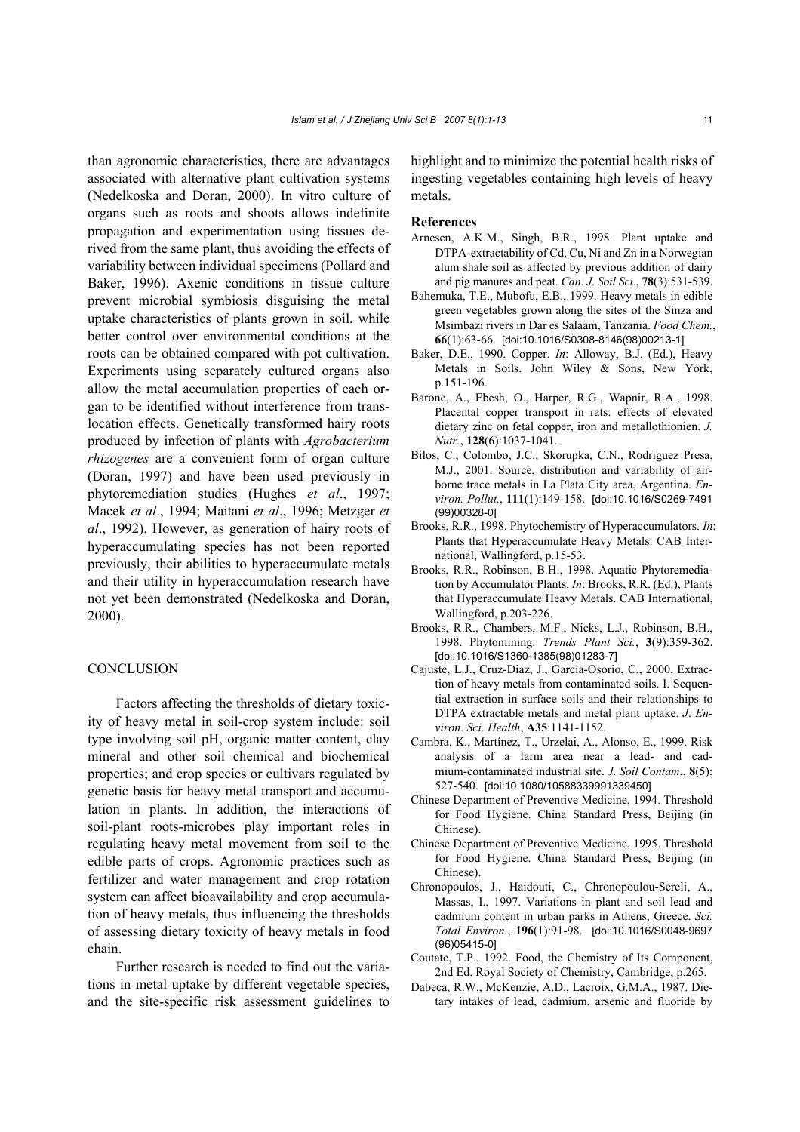than agronomic characteristics, there are advantages associated with alternative plant cultivation systems (Nedelkoska and Doran, 2000). In vitro culture of organs such as roots and shoots allows indefinite propagation and experimentation using tissues derived from the same plant, thus avoiding the effects of variability between individual specimens (Pollard and Baker, 1996). Axenic conditions in tissue culture prevent microbial symbiosis disguising the metal uptake characteristics of plants grown in soil, while better control over environmental conditions at the roots can be obtained compared with pot cultivation. Experiments using separately cultured organs also allow the metal accumulation properties of each organ to be identified without interference from translocation effects. Genetically transformed hairy roots produced by infection of plants with *Agrobacterium rhizogenes* are a convenient form of organ culture (Doran, 1997) and have been used previously in phytoremediation studies (Hughes *et al*., 1997; Macek *et al*., 1994; Maitani *et al*., 1996; Metzger *et al*., 1992). However, as generation of hairy roots of hyperaccumulating species has not been reported previously, their abilities to hyperaccumulate metals and their utility in hyperaccumulation research have not yet been demonstrated (Nedelkoska and Doran, 2000).

#### **CONCLUSION**

Factors affecting the thresholds of dietary toxicity of heavy metal in soil-crop system include: soil type involving soil pH, organic matter content, clay mineral and other soil chemical and biochemical properties; and crop species or cultivars regulated by genetic basis for heavy metal transport and accumulation in plants. In addition, the interactions of soil-plant roots-microbes play important roles in regulating heavy metal movement from soil to the edible parts of crops. Agronomic practices such as fertilizer and water management and crop rotation system can affect bioavailability and crop accumulation of heavy metals, thus influencing the thresholds of assessing dietary toxicity of heavy metals in food chain.

Further research is needed to find out the variations in metal uptake by different vegetable species, and the site-specific risk assessment guidelines to highlight and to minimize the potential health risks of ingesting vegetables containing high levels of heavy metals.

#### **References**

- Arnesen, A.K.M., Singh, B.R., 1998. Plant uptake and DTPA-extractability of Cd, Cu, Ni and Zn in a Norwegian alum shale soil as affected by previous addition of dairy and pig manures and peat. *Can*. *J*. *Soil Sci*., **78**(3):531-539.
- Bahemuka, T.E., Mubofu, E.B., 1999. Heavy metals in edible green vegetables grown along the sites of the Sinza and Msimbazi rivers in Dar es Salaam, Tanzania. *Food Chem.*, **66**(1):63-66. [doi:10.1016/S0308-8146(98)00213-1]
- Baker, D.E., 1990. Copper. *In*: Alloway, B.J. (Ed.), Heavy Metals in Soils. John Wiley & Sons, New York, p.151-196.
- Barone, A., Ebesh, O., Harper, R.G., Wapnir, R.A., 1998. Placental copper transport in rats: effects of elevated dietary zinc on fetal copper, iron and metallothionien. *J. Nutr.*, **128**(6):1037-1041.
- Bilos, C., Colombo, J.C., Skorupka, C.N., Rodriguez Presa, M.J., 2001. Source, distribution and variability of airborne trace metals in La Plata City area, Argentina. *Environ. Pollut.*, **111**(1):149-158. [doi:10.1016/S0269-7491 (99)00328-0]
- Brooks, R.R., 1998. Phytochemistry of Hyperaccumulators. *In*: Plants that Hyperaccumulate Heavy Metals. CAB International, Wallingford, p.15-53.
- Brooks, R.R., Robinson, B.H., 1998. Aquatic Phytoremediation by Accumulator Plants. *In*: Brooks, R.R. (Ed.), Plants that Hyperaccumulate Heavy Metals. CAB International, Wallingford, p.203-226.
- Brooks, R.R., Chambers, M.F., Nicks, L.J., Robinson, B.H., 1998. Phytomining. *Trends Plant Sci.*, **3**(9):359-362. [doi:10.1016/S1360-1385(98)01283-7]
- Cajuste, L.J., Cruz-Diaz, J., Garcia-Osorio, C., 2000. Extraction of heavy metals from contaminated soils. I. Sequential extraction in surface soils and their relationships to DTPA extractable metals and metal plant uptake. *J*. *Environ*. *Sci*. *Health*, **A35**:1141-1152.
- Cambra, K., Martínez, T., Urzelai, A., Alonso, E., 1999. Risk analysis of a farm area near a lead- and cadmium-contaminated industrial site. *J*. *Soil Contam*., **8**(5): 527-540. [doi:10.1080/10588339991339450]
- Chinese Department of Preventive Medicine, 1994. Threshold for Food Hygiene. China Standard Press, Beijing (in Chinese).
- Chinese Department of Preventive Medicine, 1995. Threshold for Food Hygiene. China Standard Press, Beijing (in Chinese).
- Chronopoulos, J., Haidouti, C., Chronopoulou-Sereli, A., Massas, I., 1997. Variations in plant and soil lead and cadmium content in urban parks in Athens, Greece. *Sci. Total Environ.*, **196**(1):91-98. [doi:10.1016/S0048-9697 (96)05415-0]
- Coutate, T.P., 1992. Food, the Chemistry of Its Component, 2nd Ed. Royal Society of Chemistry, Cambridge, p.265.
- Dabeca, R.W., McKenzie, A.D., Lacroix, G.M.A., 1987. Dietary intakes of lead, cadmium, arsenic and fluoride by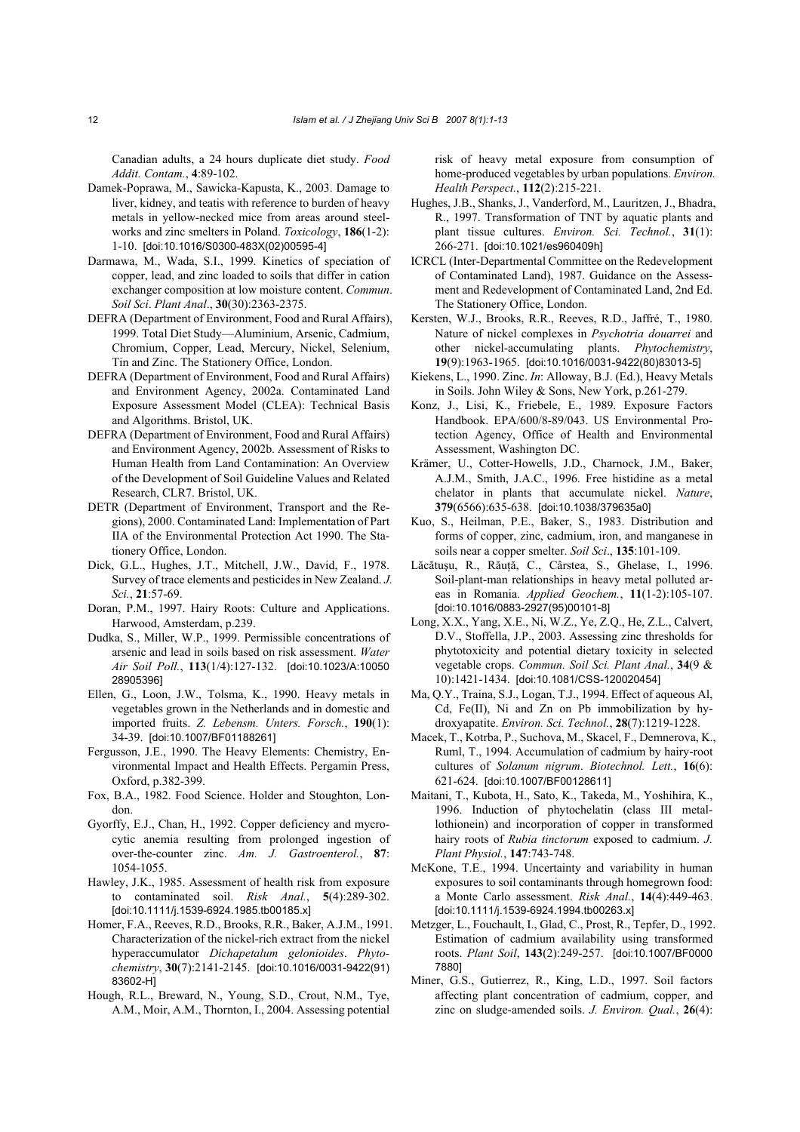Canadian adults, a 24 hours duplicate diet study. *Food Addit. Contam.*, **4**:89-102.

- Damek-Poprawa, M., Sawicka-Kapusta, K., 2003. Damage to liver, kidney, and teatis with reference to burden of heavy metals in yellow-necked mice from areas around steelworks and zinc smelters in Poland. *Toxicology*, **186**(1-2): 1-10. [doi:10.1016/S0300-483X(02)00595-4]
- Darmawa, M., Wada, S.I., 1999. Kinetics of speciation of copper, lead, and zinc loaded to soils that differ in cation exchanger composition at low moisture content. *Commun*. *Soil Sci*. *Plant Anal*., **30**(30):2363-2375.
- DEFRA (Department of Environment, Food and Rural Affairs), 1999. Total Diet Study—Aluminium, Arsenic, Cadmium, Chromium, Copper, Lead, Mercury, Nickel, Selenium, Tin and Zinc. The Stationery Office, London.
- DEFRA (Department of Environment, Food and Rural Affairs) and Environment Agency, 2002a. Contaminated Land Exposure Assessment Model (CLEA): Technical Basis and Algorithms. Bristol, UK.
- DEFRA (Department of Environment, Food and Rural Affairs) and Environment Agency, 2002b. Assessment of Risks to Human Health from Land Contamination: An Overview of the Development of Soil Guideline Values and Related Research, CLR7. Bristol, UK.
- DETR (Department of Environment, Transport and the Regions), 2000. Contaminated Land: Implementation of Part IIA of the Environmental Protection Act 1990. The Stationery Office, London.
- Dick, G.L., Hughes, J.T., Mitchell, J.W., David, F., 1978. Survey of trace elements and pesticides in New Zealand. *J. Sci.*, **21**:57-69.
- Doran, P.M., 1997. Hairy Roots: Culture and Applications. Harwood, Amsterdam, p.239.
- Dudka, S., Miller, W.P., 1999. Permissible concentrations of arsenic and lead in soils based on risk assessment. *Water Air Soil Poll.*, **113**(1/4):127-132. [doi:10.1023/A:10050 28905396]
- Ellen, G., Loon, J.W., Tolsma, K., 1990. Heavy metals in vegetables grown in the Netherlands and in domestic and imported fruits. *Z. Lebensm. Unters. Forsch.*, **190**(1): 34-39. [doi:10.1007/BF01188261]
- Fergusson, J.E., 1990. The Heavy Elements: Chemistry, Environmental Impact and Health Effects. Pergamin Press, Oxford, p.382-399.
- Fox, B.A., 1982. Food Science. Holder and Stoughton, London.
- Gyorffy, E.J., Chan, H., 1992. Copper deficiency and mycrocytic anemia resulting from prolonged ingestion of over-the-counter zinc. *Am. J. Gastroenterol.*, **87**: 1054-1055.
- Hawley, J.K., 1985. Assessment of health risk from exposure to contaminated soil. *Risk Anal.*, **5**(4):289-302. [doi:10.1111/j.1539-6924.1985.tb00185.x]
- Homer, F.A., Reeves, R.D., Brooks, R.R., Baker, A.J.M., 1991. Characterization of the nickel-rich extract from the nickel hyperaccumulator *Dichapetalum gelonioides*. *Phytochemistry*, **30**(7):2141-2145. [doi:10.1016/0031-9422(91) 83602-H]
- Hough, R.L., Breward, N., Young, S.D., Crout, N.M., Tye, A.M., Moir, A.M., Thornton, I., 2004. Assessing potential

risk of heavy metal exposure from consumption of home-produced vegetables by urban populations. *Environ. Health Perspect.*, **112**(2):215-221.

- Hughes, J.B., Shanks, J., Vanderford, M., Lauritzen, J., Bhadra, R., 1997. Transformation of TNT by aquatic plants and plant tissue cultures. *Environ. Sci. Technol.*, **31**(1): 266-271. [doi:10.1021/es960409h]
- ICRCL (Inter-Departmental Committee on the Redevelopment of Contaminated Land), 1987. Guidance on the Assessment and Redevelopment of Contaminated Land, 2nd Ed. The Stationery Office, London.
- Kersten, W.J., Brooks, R.R., Reeves, R.D., Jaffré, T., 1980. Nature of nickel complexes in *Psychotria douarrei* and other nickel-accumulating plants. *Phytochemistry*, **19**(9):1963-1965. [doi:10.1016/0031-9422(80)83013-5]
- Kiekens, L., 1990. Zinc. *In*: Alloway, B.J. (Ed.), Heavy Metals in Soils. John Wiley & Sons, New York, p.261-279.
- Konz, J., Lisi, K., Friebele, E., 1989. Exposure Factors Handbook. EPA/600/8-89/043. US Environmental Protection Agency, Office of Health and Environmental Assessment, Washington DC.
- Krämer, U., Cotter-Howells, J.D., Charnock, J.M., Baker, A.J.M., Smith, J.A.C., 1996. Free histidine as a metal chelator in plants that accumulate nickel. *Nature*, **379**(6566):635-638. [doi:10.1038/379635a0]
- Kuo, S., Heilman, P.E., Baker, S., 1983. Distribution and forms of copper, zinc, cadmium, iron, and manganese in soils near a copper smelter. *Soil Sci*., **135**:101-109.
- Lăcătuşu, R., Răuţă, C., Cârstea, S., Ghelase, I., 1996. Soil-plant-man relationships in heavy metal polluted areas in Romania. *Applied Geochem.*, **11**(1-2):105-107. [doi:10.1016/0883-2927(95)00101-8]
- Long, X.X., Yang, X.E., Ni, W.Z., Ye, Z.Q., He, Z.L., Calvert, D.V., Stoffella, J.P., 2003. Assessing zinc thresholds for phytotoxicity and potential dietary toxicity in selected vegetable crops. *Commun. Soil Sci. Plant Anal.*, **34**(9 & 10):1421-1434. [doi:10.1081/CSS-120020454]
- Ma, Q.Y., Traina, S.J., Logan, T.J., 1994. Effect of aqueous Al, Cd, Fe(II), Ni and Zn on Pb immobilization by hydroxyapatite. *Environ. Sci. Technol.*, **28**(7):1219-1228.
- Macek, T., Kotrba, P., Suchova, M., Skacel, F., Demnerova, K., Ruml, T., 1994. Accumulation of cadmium by hairy-root cultures of *Solanum nigrum*. *Biotechnol. Lett.*, **16**(6): 621-624. [doi:10.1007/BF00128611]
- Maitani, T., Kubota, H., Sato, K., Takeda, M., Yoshihira, K., 1996. Induction of phytochelatin (class III metallothionein) and incorporation of copper in transformed hairy roots of *Rubia tinctorum* exposed to cadmium. *J. Plant Physiol.*, **147**:743-748.
- McKone, T.E., 1994. Uncertainty and variability in human exposures to soil contaminants through homegrown food: a Monte Carlo assessment. *Risk Anal.*, **14**(4):449-463. [doi:10.1111/j.1539-6924.1994.tb00263.x]
- Metzger, L., Fouchault, I., Glad, C., Prost, R., Tepfer, D., 1992. Estimation of cadmium availability using transformed roots. *Plant Soil*, **143**(2):249-257. [doi:10.1007/BF0000 7880]
- Miner, G.S., Gutierrez, R., King, L.D., 1997. Soil factors affecting plant concentration of cadmium, copper, and zinc on sludge-amended soils. *J. Environ. Qual.*, **26**(4):